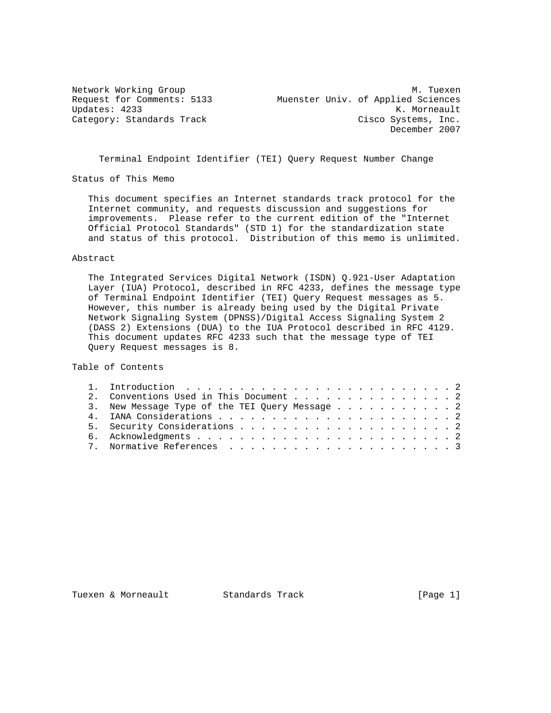Network Working Group Methods and M. Tuexen Request for Comments: 5133 Muenster Univ. of Applied Sciences Updates: 4233 K. Morneault Category: Standards Track Cisco Systems, Inc. December 2007

Terminal Endpoint Identifier (TEI) Query Request Number Change

Status of This Memo

 This document specifies an Internet standards track protocol for the Internet community, and requests discussion and suggestions for improvements. Please refer to the current edition of the "Internet Official Protocol Standards" (STD 1) for the standardization state and status of this protocol. Distribution of this memo is unlimited.

## Abstract

 The Integrated Services Digital Network (ISDN) Q.921-User Adaptation Layer (IUA) Protocol, described in RFC 4233, defines the message type of Terminal Endpoint Identifier (TEI) Query Request messages as 5. However, this number is already being used by the Digital Private Network Signaling System (DPNSS)/Digital Access Signaling System 2 (DASS 2) Extensions (DUA) to the IUA Protocol described in RFC 4129. This document updates RFC 4233 such that the message type of TEI Query Request messages is 8.

Table of Contents

| 2. Conventions Used in This Document 2         |  |
|------------------------------------------------|--|
| 3. New Message Type of the TEI Query Message 2 |  |
|                                                |  |
|                                                |  |
|                                                |  |
|                                                |  |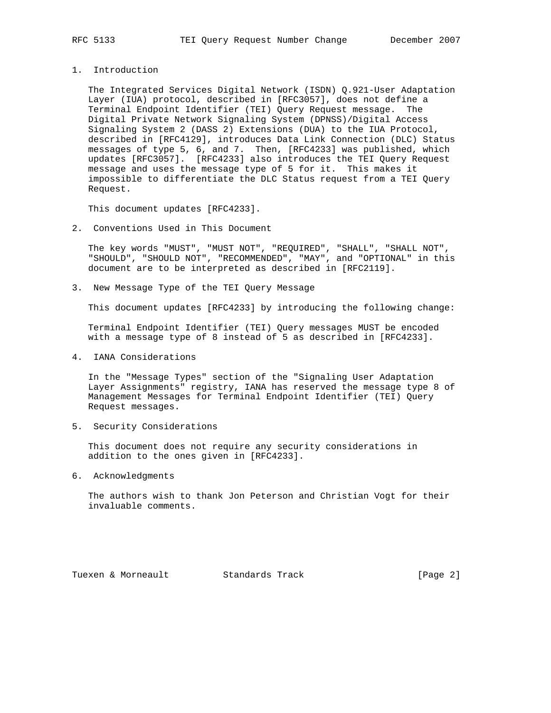- 
- 1. Introduction

 The Integrated Services Digital Network (ISDN) Q.921-User Adaptation Layer (IUA) protocol, described in [RFC3057], does not define a Terminal Endpoint Identifier (TEI) Query Request message. The Digital Private Network Signaling System (DPNSS)/Digital Access Signaling System 2 (DASS 2) Extensions (DUA) to the IUA Protocol, described in [RFC4129], introduces Data Link Connection (DLC) Status messages of type 5, 6, and 7. Then, [RFC4233] was published, which updates [RFC3057]. [RFC4233] also introduces the TEI Query Request message and uses the message type of 5 for it. This makes it impossible to differentiate the DLC Status request from a TEI Query Request.

This document updates [RFC4233].

2. Conventions Used in This Document

 The key words "MUST", "MUST NOT", "REQUIRED", "SHALL", "SHALL NOT", "SHOULD", "SHOULD NOT", "RECOMMENDED", "MAY", and "OPTIONAL" in this document are to be interpreted as described in [RFC2119].

3. New Message Type of the TEI Query Message

This document updates [RFC4233] by introducing the following change:

 Terminal Endpoint Identifier (TEI) Query messages MUST be encoded with a message type of 8 instead of 5 as described in [RFC4233].

4. IANA Considerations

 In the "Message Types" section of the "Signaling User Adaptation Layer Assignments" registry, IANA has reserved the message type 8 of Management Messages for Terminal Endpoint Identifier (TEI) Query Request messages.

5. Security Considerations

 This document does not require any security considerations in addition to the ones given in [RFC4233].

6. Acknowledgments

 The authors wish to thank Jon Peterson and Christian Vogt for their invaluable comments.

Tuexen & Morneault Standards Track [Page 2]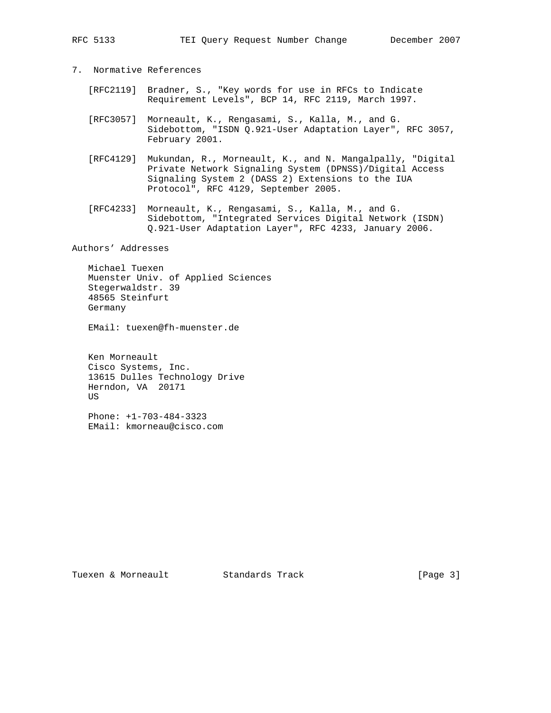- 7. Normative References
	- [RFC2119] Bradner, S., "Key words for use in RFCs to Indicate Requirement Levels", BCP 14, RFC 2119, March 1997.
	- [RFC3057] Morneault, K., Rengasami, S., Kalla, M., and G. Sidebottom, "ISDN Q.921-User Adaptation Layer", RFC 3057, February 2001.
	- [RFC4129] Mukundan, R., Morneault, K., and N. Mangalpally, "Digital Private Network Signaling System (DPNSS)/Digital Access Signaling System 2 (DASS 2) Extensions to the IUA Protocol", RFC 4129, September 2005.
	- [RFC4233] Morneault, K., Rengasami, S., Kalla, M., and G. Sidebottom, "Integrated Services Digital Network (ISDN) Q.921-User Adaptation Layer", RFC 4233, January 2006.

Authors' Addresses

 Michael Tuexen Muenster Univ. of Applied Sciences Stegerwaldstr. 39 48565 Steinfurt Germany

EMail: tuexen@fh-muenster.de

 Ken Morneault Cisco Systems, Inc. 13615 Dulles Technology Drive Herndon, VA 20171 US

 Phone: +1-703-484-3323 EMail: kmorneau@cisco.com

Tuexen & Morneault Standards Track [Page 3]